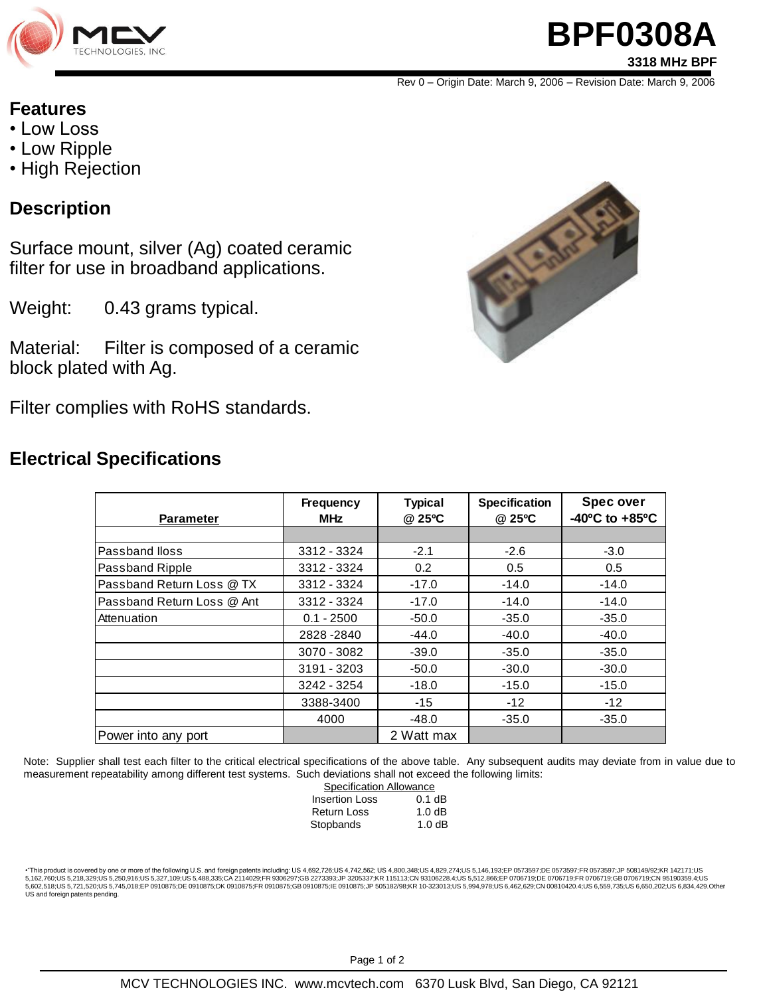

## **BPF0308A 3318 MHz BPF**

Rev 0 – Origin Date: March 9, 2006 – Revision Date: March 9, 2006

#### **Features**

- Low Loss
- Low Ripple
- High Rejection

#### **Description**

Surface mount, silver (Ag) coated ceramic filter for use in broadband applications.

Weight: 0.43 grams typical.

Material: Filter is composed of a ceramic block plated with Ag.

Filter complies with RoHS standards.

### **Electrical Specifications**



| <b>Parameter</b>           | <b>Frequency</b><br><b>MHz</b> | <b>Typical</b><br>@ 25°C | <b>Specification</b><br>@ 25°C | <b>Spec over</b><br>$-40^{\circ}$ C to $+85^{\circ}$ C |
|----------------------------|--------------------------------|--------------------------|--------------------------------|--------------------------------------------------------|
|                            |                                |                          |                                |                                                        |
| Passband Iloss             | 3312 - 3324                    | $-2.1$                   | $-2.6$                         | $-3.0$                                                 |
| Passband Ripple            | 3312 - 3324                    | 0.2                      | 0.5                            | 0.5                                                    |
| Passband Return Loss @ TX  | 3312 - 3324                    | $-17.0$                  | $-14.0$                        | $-14.0$                                                |
| Passband Return Loss @ Ant | 3312 - 3324                    | $-17.0$                  | $-14.0$                        | $-14.0$                                                |
| Attenuation                | $0.1 - 2500$                   | $-50.0$                  | $-35.0$                        | $-35.0$                                                |
|                            | 2828-2840                      | $-44.0$                  | $-40.0$                        | $-40.0$                                                |
|                            | 3070 - 3082                    | $-39.0$                  | $-35.0$                        | $-35.0$                                                |
|                            | 3191 - 3203                    | $-50.0$                  | $-30.0$                        | $-30.0$                                                |
|                            | 3242 - 3254                    | $-18.0$                  | $-15.0$                        | $-15.0$                                                |
|                            | 3388-3400                      | $-15$                    | $-12$                          | $-12$                                                  |
|                            | 4000                           | $-48.0$                  | $-35.0$                        | $-35.0$                                                |
| Power into any port        |                                | 2 Watt max               |                                |                                                        |

Note: Supplier shall test each filter to the critical electrical specifications of the above table. Any subsequent audits may deviate from in value due to measurement repeatability among different test systems. Such deviations shall not exceed the following limits:

| <b>Specification Allowance</b> |          |  |  |
|--------------------------------|----------|--|--|
| <b>Insertion Loss</b>          | $0.1$ dB |  |  |
| <b>Return Loss</b>             | 1.0dB    |  |  |
| Stopbands                      | 1.0dB    |  |  |

•"This product is covered by one or more of the following U.S. and foreign patents including: US 4,692,726;US 4,742,562; US 4,800,348;US 4,829,274;US 5,146,193;EP 0573597;DE 0573597;FR 0573597;JP 508149/92;KR 142171;US 5,162,760;US 5,218,329;US 5,250,916;US 5,327,109;US 5,488,335;CA 2114029;FR 9306297;GB 2273393;JP 3205337;KR 115113;CN 93106228.4;US 5,512,866;EP 0706719;DE 0706719;FR 0706719;GB 0706719;CB 0706719;CB 0706719;CN 95190359.4 US and foreign patents pending.